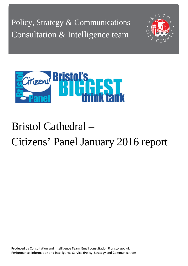Policy, Strategy & Communications Consultation & Intelligence team





# Bristol Cathedral – Citizens' Panel January 2016 report

Produced by Consultation and Intelligence Team. Email consultation@bristol.gov.uk Performance, Information and Intelligence Service (Policy, Strategy and Communications)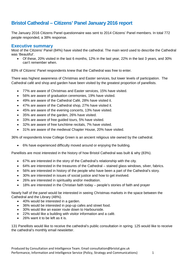## **Bristol Cathedral – Citizens' Panel January 2016 report**

The January 2016 Citizens Panel questionnaire was sent to 2014 Citizens' Panel members. In total 772 people responded, a 38% response.

#### **Executive summary**

Most of the Citizens' Panel (84%) have visited the cathedral. The main word used to describe the Cathedral was 'Beautiful'.

• Of these, 20% visited in the last 6 months, 12% in the last year, 22% in the last 3 years, and 30% can't remember when.

83% of Citizens' Panel respondents knew that the Cathedral was free to enter.

There was highest awareness of Christmas and Easter services, but lower levels of participation. The Cathedral café and shop and garden have been visited by the greatest proportion of panellists.

- 77% are aware of Christmas and Easter services, 15% have visited.
- 56% are aware of graduation ceremonies, 19% have visited.
- 49% are aware of the Cathedral Café, 28% have visited it.
- 47% are aware of the Cathedral shop, 27% have visited it.
- 45% are aware of the evening concerts, 13% have visited.
- 35% are aware of the garden, 26% have visited.
- 33% are aware of free guided tours, 5% have visited.
- 32% are aware of free lunchtime recitals, 7% have visited.
- 31% are aware of the medieval Chapter House, 20% have visited.

36% of respondents know College Green is an ancient religious site owned by the cathedral.

• 6% have experienced difficulty moved around or enjoying the building.

Panellists are most interested in the history of how Bristol Cathedral was built & why (83%).

- 67% are interested in the story of the Cathedral's relationship with the city.
- 64% are interested in the treasures of the Cathedral stained glass windows, silver, fabrics,
- 56% are interested in history of the people who have been a part of the Cathedral's story.
- 30% are interested in issues of social justice and how to get involved.
- 26% are interested in spirituality and/or meditation.
- 18% are interested in the Christian faith today people's stories of faith and prayer

Nearly half of the panel would be interested in seeing Christmas markets in the space between the Cathedral and the Library (48%).

- 40% would be interested in a garden.
- 36% would be interested in pop-up cafes and street food.
- 30% would like an easier route down to Harbourside.
- 22% would like a building with visitor information and a café.
- 26% want it to be left as it is.

131 Panellists would like to receive the cathedral's public consultation in spring. 125 would like to receive the cathedral's monthly email newsletter.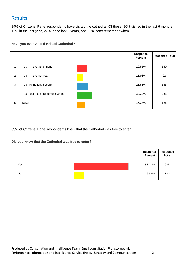## **Results**

84% of Citizens' Panel respondents have visited the cathedral. Of these, 20% visited in the last 6 months, 12% in the last year, 22% in the last 3 years, and 30% can't remember when.

|                | Have you ever visited Bristol Cathedral? |  |                                   |                       |  |  |
|----------------|------------------------------------------|--|-----------------------------------|-----------------------|--|--|
|                |                                          |  | <b>Response</b><br><b>Percent</b> | <b>Response Total</b> |  |  |
| 1              | $Yes - in the last 6 month$              |  | 19.51%                            | 150                   |  |  |
| $\overline{2}$ | Yes - in the last year                   |  | 11.96%                            | 92                    |  |  |
| 3              | Yes - in the last 3 years                |  | 21.85%                            | 168                   |  |  |
| $\overline{4}$ | Yes – but I can't remember when          |  | 30.30%                            | 233                   |  |  |
| 5              | <b>Never</b>                             |  | 16.38%                            | 126                   |  |  |

83% of Citizens' Panel respondents knew that the Cathedral was free to enter.

|   | Did you know that the Cathedral was free to enter? |  |                            |                                 |  |
|---|----------------------------------------------------|--|----------------------------|---------------------------------|--|
|   |                                                    |  | <b>Response</b><br>Percent | <b>Response</b><br><b>Total</b> |  |
|   | Yes                                                |  | 83.01%                     | 635                             |  |
| 2 | No                                                 |  | 16.99%                     | 130                             |  |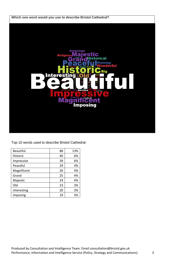

Top 10 words used to describe Bristol Cathedral:

| <b>Beautiful</b> | 88 | 13% |
|------------------|----|-----|
| Historic         | 40 | 6%  |
| Impressive       | 39 | 6%  |
| Peaceful         | 29 | 4%  |
| Magnificent      | 26 | 4%  |
| Grand            | 25 | 4%  |
| Majestic         | 24 | 4%  |
| Old              | 23 | 3%  |
| Interesting      | 20 | 3%  |
| Imposing         | 19 | 3%  |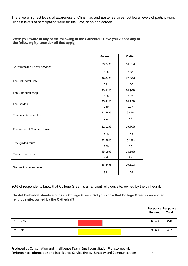There were highest levels of awareness of Christmas and Easter services, but lower levels of participation. Highest levels of participation were for the Café, shop and garden.

| Were you aware of any of the following at the Cathedral? Have you visited any of<br>the following?(please tick all that apply) |          |                |  |
|--------------------------------------------------------------------------------------------------------------------------------|----------|----------------|--|
|                                                                                                                                | Aware of | <b>Visited</b> |  |
| <b>Christmas and Easter services</b>                                                                                           | 76.74%   | 14.81%         |  |
|                                                                                                                                | 518      | 100            |  |
| The Cathedral Café                                                                                                             | 49.04%   | 27.56%         |  |
|                                                                                                                                | 331      | 186            |  |
|                                                                                                                                | 46.81%   | 26.96%         |  |
| The Cathedral shop                                                                                                             | 316      | 182            |  |
| The Garden                                                                                                                     | 35.41%   | 26.22%         |  |
|                                                                                                                                | 239      | 177            |  |
| Free lunchtime recitals                                                                                                        | 31.56%   | 6.96%          |  |
|                                                                                                                                | 213      | 47             |  |
| The medieval Chapter House                                                                                                     | 31.11%   | 19.70%         |  |
|                                                                                                                                | 210      | 133            |  |
|                                                                                                                                | 32.59%   | 5.19%          |  |
| Free guided tours                                                                                                              | 220      | 35             |  |
|                                                                                                                                | 45.19%   | 13.19%         |  |
| Evening concerts                                                                                                               | 305      | 89             |  |
| <b>Graduation ceremonies</b>                                                                                                   | 56.44%   | 19.11%         |  |
|                                                                                                                                | 381      | 129            |  |

36% of respondents know that College Green is an ancient religious site, owned by the cathedral.

|   | Bristol Cathedral stands alongside College Green. Did you know that College Green is an ancient<br>religious site, owned by the Cathedral? |  |                |                                   |  |  |
|---|--------------------------------------------------------------------------------------------------------------------------------------------|--|----------------|-----------------------------------|--|--|
|   |                                                                                                                                            |  | <b>Percent</b> | Response Response<br><b>Total</b> |  |  |
|   | Yes                                                                                                                                        |  | 36.34%         | 278                               |  |  |
| ⌒ | No.                                                                                                                                        |  | 63.66%         | 487                               |  |  |

Produced by Consultation and Intelligence Team. Email consultation@bristol.gov.uk Performance, Information and Intelligence Service (Policy, Strategy and Communications) 4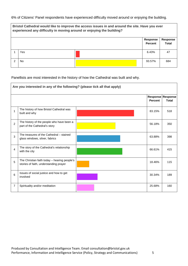6% of Citizens' Panel respondents have experienced difficulty moved around or enjoying the building.

| Bristol Cathedral would like to improve the access issues in and around the site. Have you ever<br>experienced any difficulty in moving around or enjoying the building? |  |        |     |  |  |
|--------------------------------------------------------------------------------------------------------------------------------------------------------------------------|--|--------|-----|--|--|
| Response<br>Response<br><b>Total</b><br><b>Percent</b>                                                                                                                   |  |        |     |  |  |
| Yes                                                                                                                                                                      |  | 6.43%  | 47  |  |  |
| No.                                                                                                                                                                      |  | 93.57% | 684 |  |  |

Panellists are most interested in the history of how the Cathedral was built and why.

|                | Are you interested in any of the following? (please tick all that apply)               |  |                |                                   |  |
|----------------|----------------------------------------------------------------------------------------|--|----------------|-----------------------------------|--|
|                |                                                                                        |  | <b>Percent</b> | Response Response<br><b>Total</b> |  |
| 1              | The history of how Bristol Cathedral was<br>built and why                              |  | 83.15%         | 518                               |  |
| $\overline{2}$ | The history of the people who have been a<br>part of the Cathedral's story             |  | 56.18%         | 350                               |  |
| 3              | The treasures of the Cathedral – stained<br>glass windows, silver, fabrics             |  | 63.88%         | 398                               |  |
| $\overline{4}$ | The story of the Cathedral's relationship<br>with the city                             |  | 66.61%         | 415                               |  |
| 5              | The Christian faith today - hearing people's<br>stories of faith, understanding prayer |  | 18.46%         | 115                               |  |
| 6              | Issues of social justice and how to get<br>involved                                    |  | 30.34%         | 189                               |  |
| $\overline{7}$ | Spirituality and/or meditation                                                         |  | 25.68%         | 160                               |  |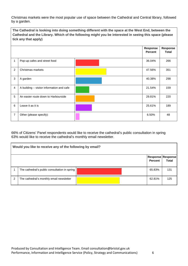Christmas markets were the most popular use of space between the Cathedral and Central library, followed by a garden.

**The Cathedral is looking into doing something different with the space at the West End, between the Cathedral and the Library. Which of the following might you be interested in seeing this space (please tick any that apply) Response Percent Response Total** 1 Pop-up cafes and street food 36.04% 266 2 Christmas markets **2** Christmas markets **1990 12.56%** 1 **351** 3 A garden 40.38% 298 4 A building – visitor information and cafe 21.54% 159 5 An easier route down to Harbourside **20.81%** 220 6 Leave it as it is 25.61% 189 7 Other (please specify): **6.50%** 48

66% of Citizens' Panel respondents would like to receive the cathedral's public consultation in spring 63% would like to receive the cathedral's monthly email newsletter.

| Would you like to receive any of the following by email? |                                               |  |                                            |              |  |
|----------------------------------------------------------|-----------------------------------------------|--|--------------------------------------------|--------------|--|
|                                                          |                                               |  | <b>Response Response</b><br><b>Percent</b> | <b>Total</b> |  |
|                                                          | The cathedral's public consultation in spring |  | 65.83%                                     | 131          |  |
| 2                                                        | The cathedral's monthly email newsletter      |  | 62.81%                                     | 125          |  |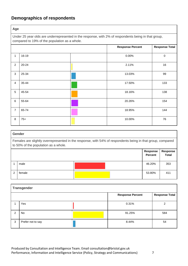# **Demographics of respondents**

**Age** 

Under 25 year olds are underrepresented in the response, with 2% of respondents being in that group, compared to 19% of the population as a whole.

|                 |           |  | <b>Response Percent</b> | <b>Response Total</b> |  |
|-----------------|-----------|--|-------------------------|-----------------------|--|
| 1               | 16-19     |  | 0.00%                   | $\,0\,$               |  |
| $\overline{2}$  | $20 - 24$ |  | 2.11%                   | 16                    |  |
| $\mathbf{3}$    | 25-34     |  | 13.03%                  | 99                    |  |
| 4               | 35-44     |  | 17.50%                  | 133                   |  |
| $5\phantom{.0}$ | 45-54     |  | 18.16%                  | 138                   |  |
| 6               | 55-64     |  | 20.26%                  | 154                   |  |
| $\overline{7}$  | 65-74     |  | 18.95%                  | 144                   |  |
| $\, 8$          | $75+$     |  | 10.00%                  | 76                    |  |

### **Gender**  Females are slightly overrepresented in the response, with 54% of respondents being in that group, compared to 50% of the population as a whole. **Response Percent Response Total** 1 male 46.20% 353 2 female 53.80% 411

|   | <b>Transgender</b> |  |                         |                       |  |  |
|---|--------------------|--|-------------------------|-----------------------|--|--|
|   |                    |  | <b>Response Percent</b> | <b>Response Total</b> |  |  |
|   | Yes                |  | 0.31%                   | C                     |  |  |
| C | No                 |  | 91.25%                  | 584                   |  |  |
| 3 | Prefer not to say  |  | 8.44%                   | 54                    |  |  |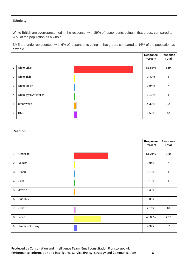#### **Ethnicity**

White British are overrepresented in the response, with 89% of respondents being in that group, compared to 78% of the population as a whole.

BME are underrepresented, with 6% of respondents being in that group, compared to 16% of the population as a whole.

|                |                       | Response<br><b>Percent</b> | Response<br><b>Total</b> |
|----------------|-----------------------|----------------------------|--------------------------|
| 1              | white british         | 88.58%                     | 659                      |
| $\overline{2}$ | white irish           | 0.40%                      | 3                        |
| 3              | white polish          | 0.94%                      | 7                        |
| $\overline{a}$ | white gypsy/traveller | 0.13%                      |                          |
| 5              | other white           | 4.30%                      | 32                       |
| $\,6\,$        | <b>BME</b>            | 5.65%                      | 42                       |

|                  | <b>Religion</b>   |  |                     |                          |  |  |
|------------------|-------------------|--|---------------------|--------------------------|--|--|
|                  |                   |  | Response<br>Percent | Response<br><b>Total</b> |  |  |
| $\mathbf{1}$     | Christian         |  | 51.21%              | 380                      |  |  |
| $\overline{2}$   | Muslim            |  | 0.94%               | $\overline{7}$           |  |  |
| $\mathbf{3}$     | Hindu             |  | 0.13%               | 1                        |  |  |
| $\overline{4}$   | Sikh              |  | 0.13%               | $\mathbf{1}$             |  |  |
| $\overline{5}$   | Jewish            |  | 0.40%               | $\mathbf{3}$             |  |  |
| $6\phantom{a}$   | <b>Buddhist</b>   |  | $0.00\%$            | $\pmb{0}$                |  |  |
| $\overline{7}$   | Other             |  | 2.16%               | 16                       |  |  |
| 8                | None              |  | 40.03%              | 297                      |  |  |
| $\boldsymbol{9}$ | Prefer not to say |  | 4.99%               | 37                       |  |  |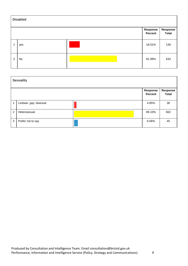| <b>Disabled</b> |     |  |                            |                   |  |  |  |  |
|-----------------|-----|--|----------------------------|-------------------|--|--|--|--|
|                 |     |  | Response<br><b>Percent</b> | Response<br>Total |  |  |  |  |
| 1               | yes |  | 18.01%                     | 139               |  |  |  |  |
| $\overline{2}$  | No  |  | 81.99%                     | 633               |  |  |  |  |

| <b>Sexuality</b> |                        |  |                            |                          |  |  |  |
|------------------|------------------------|--|----------------------------|--------------------------|--|--|--|
|                  |                        |  | Response<br><b>Percent</b> | Response<br><b>Total</b> |  |  |  |
| 1                | Lesbian, gay, bisexual |  | 4.85%                      | 36                       |  |  |  |
| $\overline{2}$   | Heterosexual           |  | 89.10%                     | 662                      |  |  |  |
| 3                | Prefer not to say      |  | 6.06%                      | 45                       |  |  |  |